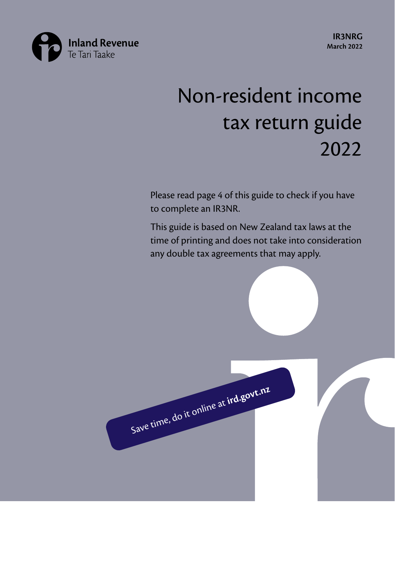

**IR3NRG March 2022**

# Non-resident income tax return guide 2022

Please read page 4 of this guide to check if you have to complete an IR3NR.

This guide is based on New Zealand tax laws at the time of printing and does not take into consideration any double tax agreements that may apply.

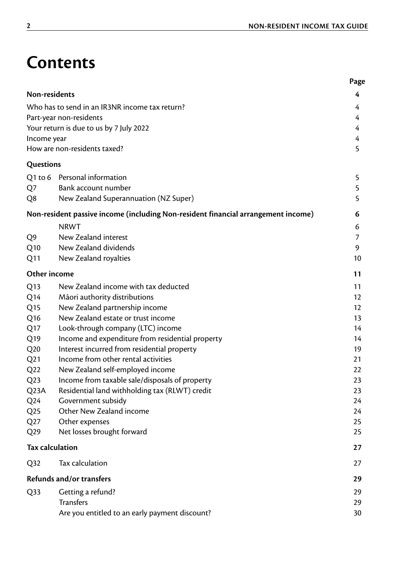# **Contents**

|                        |                                                                                   | Page |
|------------------------|-----------------------------------------------------------------------------------|------|
| Non-residents          |                                                                                   | 4    |
|                        | Who has to send in an IR3NR income tax return?                                    | 4    |
|                        | Part-year non-residents                                                           | 4    |
|                        | Your return is due to us by 7 July 2022                                           | 4    |
| Income year            |                                                                                   | 4    |
|                        | How are non-residents taxed?                                                      | 5    |
| Questions              |                                                                                   |      |
|                        | Q1 to 6 Personal information                                                      | 5    |
| Q7                     | Bank account number                                                               | 5    |
| Q8                     | New Zealand Superannuation (NZ Super)                                             | 5    |
|                        | Non-resident passive income (including Non-resident financial arrangement income) | 6    |
|                        | <b>NRWT</b>                                                                       | 6    |
| Q9                     | New Zealand interest                                                              | 7    |
| Q10                    | New Zealand dividends                                                             | 9    |
| Q11                    | New Zealand royalties                                                             | 10   |
| Other income           |                                                                                   | 11   |
| Q13                    | New Zealand income with tax deducted                                              | 11   |
| Q <sub>14</sub>        | Māori authority distributions                                                     | 12   |
| Q <sub>15</sub>        | New Zealand partnership income                                                    | 12   |
| Q <sub>16</sub>        | New Zealand estate or trust income                                                | 13   |
| Q <sub>17</sub>        | Look-through company (LTC) income                                                 | 14   |
| Q <sub>19</sub>        | Income and expenditure from residential property                                  | 14   |
| Q20                    | Interest incurred from residential property                                       | 19   |
| Q <sub>21</sub>        | Income from other rental activities                                               | 21   |
| Q22                    | New Zealand self-employed income                                                  | 22   |
| Q <sub>2</sub> 3       | Income from taxable sale/disposals of property                                    | 23   |
| Q <sub>2</sub> 3A      | Residential land withholding tax (RLWT) credit                                    | 23   |
| Q24                    | Government subsidy                                                                | 24   |
| Q <sub>25</sub>        | Other New Zealand income                                                          | 24   |
| Q27                    | Other expenses                                                                    | 25   |
| Q29                    | Net losses brought forward                                                        | 25   |
| <b>Tax calculation</b> |                                                                                   | 27   |
| Q <sub>32</sub>        | Tax calculation                                                                   | 27   |
|                        | Refunds and/or transfers                                                          | 29   |
| Q33                    | Getting a refund?                                                                 | 29   |
|                        | <b>Transfers</b>                                                                  | 29   |
|                        | Are you entitled to an early payment discount?                                    | 30   |
|                        |                                                                                   |      |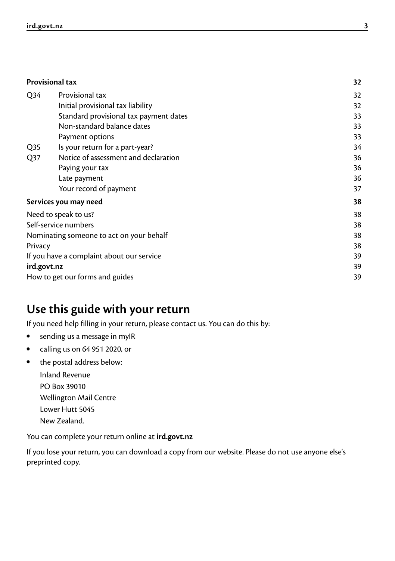|                 | <b>Provisional tax</b>                    | 32 |
|-----------------|-------------------------------------------|----|
| Q <sub>34</sub> | Provisional tax                           | 32 |
|                 | Initial provisional tax liability         | 32 |
|                 | Standard provisional tax payment dates    | 33 |
|                 | Non-standard balance dates                | 33 |
|                 | Payment options                           | 33 |
| Q <sub>35</sub> | Is your return for a part-year?           | 34 |
| Q <sub>37</sub> | Notice of assessment and declaration      | 36 |
|                 | Paying your tax                           | 36 |
|                 | Late payment                              | 36 |
|                 | Your record of payment                    | 37 |
|                 | Services you may need                     | 38 |
|                 | Need to speak to us?                      | 38 |
|                 | Self-service numbers                      | 38 |
|                 | Nominating someone to act on your behalf  | 38 |
| Privacy         |                                           | 38 |
|                 | If you have a complaint about our service | 39 |
| ird.govt.nz     |                                           | 39 |
|                 | How to get our forms and guides           | 39 |
|                 |                                           |    |

### **Use this guide with your return**

If you need help filling in your return, please contact us. You can do this by:

- sending us a message in myIR
- calling us on 64 951 2020, or
- the postal address below:
	- Inland Revenue PO Box 39010 Wellington Mail Centre Lower Hutt 5045 New Zealand.

You can complete your return online at **[ird.govt.nz](http://ird.govt.nz)**

If you lose your return, you can download a copy from our website. Please do not use anyone else's preprinted copy.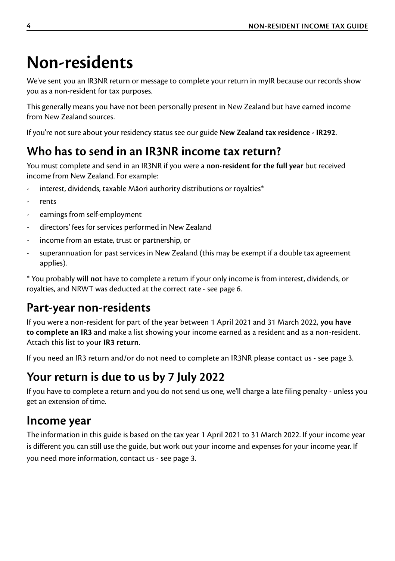# <span id="page-3-0"></span>**Non-residents**

We've sent you an IR3NR return or message to complete your return in myIR because our records show you as a non-resident for tax purposes.

This generally means you have not been personally present in New Zealand but have earned income from New Zealand sources.

If you're not sure about your residency status see our guide **New Zealand tax residence - IR292**.

## **Who has to send in an IR3NR income tax return?**

You must complete and send in an IR3NR if you were a **non-resident for the full year** but received income from New Zealand. For example:

- interest, dividends, taxable Māori authority distributions or royalties\*
- rents
- earnings from self-employment
- directors' fees for services performed in New Zealand
- income from an estate, trust or partnership, or
- superannuation for past services in New Zealand (this may be exempt if a double tax agreement applies).

\* You probably **will not** have to complete a return if your only income is from interest, dividends, or royalties, and NRWT was deducted at the correct rate - see page 6.

### **Part-year non-residents**

If you were a non-resident for part of the year between 1 April 2021 and 31 March 2022, **you have to complete an IR3** and make a list showing your income earned as a resident and as a non-resident. Attach this list to your **IR3 return**.

If you need an IR3 return and/or do not need to complete an IR3NR please contact us - see page 3.

## **Your return is due to us by 7 July 2022**

If you have to complete a return and you do not send us one, we'll charge a late filing penalty - unless you get an extension of time.

### **Income year**

The information in this guide is based on the tax year 1 April 2021 to 31 March 2022. If your income year is different you can still use the guide, but work out your income and expenses for your income year. If you need more information, contact us - see page 3.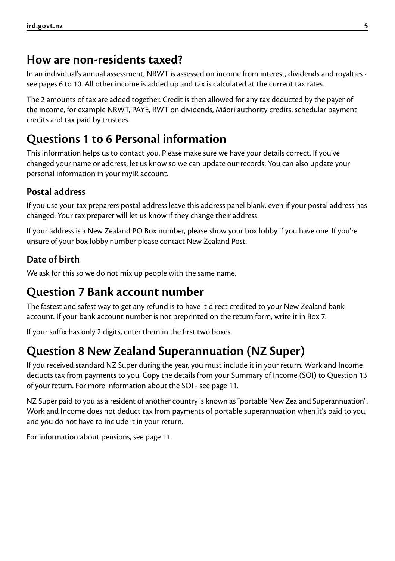### <span id="page-4-0"></span>**How are non-residents taxed?**

In an individual's annual assessment, NRWT is assessed on income from interest, dividends and royalties see pages 6 to 10. All other income is added up and tax is calculated at the current tax rates.

The 2 amounts of tax are added together. Credit is then allowed for any tax deducted by the payer of the income, for example NRWT, PAYE, RWT on dividends, Māori authority credits, schedular payment credits and tax paid by trustees.

## **Questions 1 to 6 Personal information**

This information helps us to contact you. Please make sure we have your details correct. If you've changed your name or address, let us know so we can update our records. You can also update your personal information in your myIR account.

### **Postal address**

If you use your tax preparers postal address leave this address panel blank, even if your postal address has changed. Your tax preparer will let us know if they change their address.

If your address is a New Zealand PO Box number, please show your box lobby if you have one. If you're unsure of your box lobby number please contact New Zealand Post.

### **Date of birth**

We ask for this so we do not mix up people with the same name.

## **Question 7 Bank account number**

The fastest and safest way to get any refund is to have it direct credited to your New Zealand bank account. If your bank account number is not preprinted on the return form, write it in Box 7.

If your suffix has only 2 digits, enter them in the first two boxes.

## **Question 8 New Zealand Superannuation (NZ Super)**

If you received standard NZ Super during the year, you must include it in your return. Work and Income deducts tax from payments to you. Copy the details from your Summary of Income (SOI) to Question 13 of your return. For more information about the SOI - see page 11.

NZ Super paid to you as a resident of another country is known as "portable New Zealand Superannuation". Work and Income does not deduct tax from payments of portable superannuation when it's paid to you, and you do not have to include it in your return.

For information about pensions, see page 11.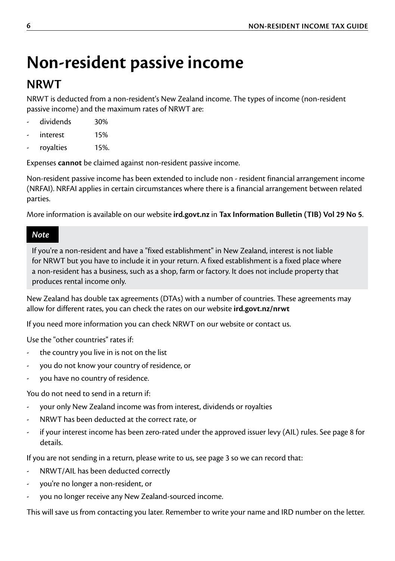# <span id="page-5-0"></span>**Non-resident passive income**

### **NRWT**

NRWT is deducted from a non-resident's New Zealand income. The types of income (non-resident passive income) and the maximum rates of NRWT are:

- dividends 30%
- interest 15%
- royalties 15%.

Expenses **cannot** be claimed against non-resident passive income.

Non-resident passive income has been extended to include non - resident financial arrangement income (NRFAI). NRFAI applies in certain circumstances where there is a financial arrangement between related parties.

More information is available on our website **[ird.govt.nz](http://ird.govt.nz)** in **Tax Information Bulletin (TIB) Vol 29 No 5**.

#### *Note*

If you're a non-resident and have a "fixed establishment" in New Zealand, interest is not liable for NRWT but you have to include it in your return. A fixed establishment is a fixed place where a non-resident has a business, such as a shop, farm or factory. It does not include property that produces rental income only.

New Zealand has double tax agreements (DTAs) with a number of countries. These agreements may allow for different rates, you can check the rates on our website **[ird.govt.nz/nrwt](http://ird.govt.nz/nrwt)**

If you need more information you can check NRWT on our website or contact us.

Use the "other countries" rates if:

- the country you live in is not on the list
- you do not know your country of residence, or
- you have no country of residence.

You do not need to send in a return if:

- your only New Zealand income was from interest, dividends or royalties
- NRWT has been deducted at the correct rate, or
- if your interest income has been zero-rated under the approved issuer levy (AIL) rules. See page 8 for details.

If you are not sending in a return, please write to us, see page 3 so we can record that:

- NRWT/AIL has been deducted correctly
- you're no longer a non-resident, or
- you no longer receive any New Zealand-sourced income.

This will save us from contacting you later. Remember to write your name and IRD number on the letter.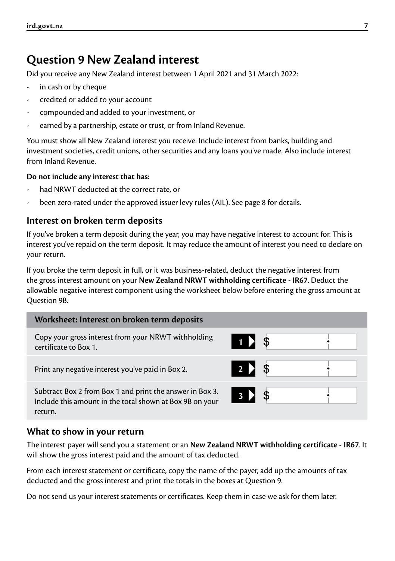### <span id="page-6-0"></span>**Question 9 New Zealand interest**

Did you receive any New Zealand interest between 1 April 2021 and 31 March 2022:

- in cash or by cheque
- credited or added to your account
- compounded and added to your investment, or
- earned by a partnership, estate or trust, or from Inland Revenue.

You must show all New Zealand interest you receive. Include interest from banks, building and investment societies, credit unions, other securities and any loans you've made. Also include interest from Inland Revenue.

#### **Do not include any interest that has:**

- had NRWT deducted at the correct rate, or
- been zero-rated under the approved issuer levy rules (AIL). See page 8 for details.

#### **Interest on broken term deposits**

If you've broken a term deposit during the year, you may have negative interest to account for. This is interest you've repaid on the term deposit. It may reduce the amount of interest you need to declare on your return.

If you broke the term deposit in full, or it was business-related, deduct the negative interest from the gross interest amount on your **New Zealand NRWT withholding certificate - IR67**. Deduct the allowable negative interest component using the worksheet below before entering the gross amount at Question 9B.

| Worksheet: Interest on broken term deposits                                                                                     |                         |  |
|---------------------------------------------------------------------------------------------------------------------------------|-------------------------|--|
| Copy your gross interest from your NRWT withholding<br>certificate to Box 1.                                                    | $\left  \right $<br>-\$ |  |
| Print any negative interest you've paid in Box 2.                                                                               | $2 \nvert$<br>- \$      |  |
| Subtract Box 2 from Box 1 and print the answer in Box 3.<br>Include this amount in the total shown at Box 9B on your<br>return. | $3 \triangleright$      |  |

#### **What to show in your return**

The interest payer will send you a statement or an **New Zealand NRWT withholding certificate - IR67**. It will show the gross interest paid and the amount of tax deducted.

From each interest statement or certificate, copy the name of the payer, add up the amounts of tax deducted and the gross interest and print the totals in the boxes at Question 9.

Do not send us your interest statements or certificates. Keep them in case we ask for them later.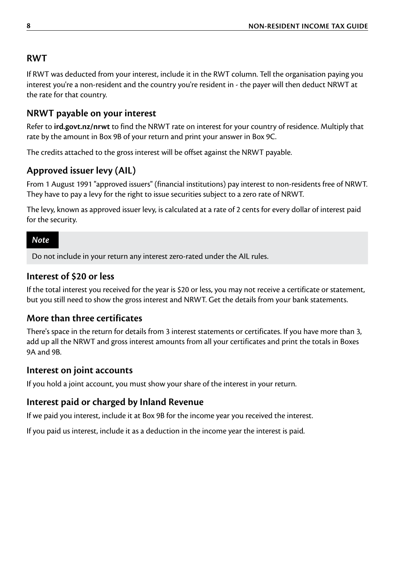#### **RWT**

If RWT was deducted from your interest, include it in the RWT column. Tell the organisation paying you interest you're a non-resident and the country you're resident in - the payer will then deduct NRWT at the rate for that country.

#### **NRWT payable on your interest**

Refer to **[ird.govt.nz/nrwt](http://ird.govt.nz/nrwt)** to find the NRWT rate on interest for your country of residence. Multiply that rate by the amount in Box 9B of your return and print your answer in Box 9C.

The credits attached to the gross interest will be offset against the NRWT payable.

#### **Approved issuer levy (AIL)**

From 1 August 1991 "approved issuers" (financial institutions) pay interest to non-residents free of NRWT. They have to pay a levy for the right to issue securities subject to a zero rate of NRWT.

The levy, known as approved issuer levy, is calculated at a rate of 2 cents for every dollar of interest paid for the security.

#### *Note*

Do not include in your return any interest zero-rated under the AIL rules.

#### **Interest of \$20 or less**

If the total interest you received for the year is \$20 or less, you may not receive a certificate or statement, but you still need to show the gross interest and NRWT. Get the details from your bank statements.

#### **More than three certificates**

There's space in the return for details from 3 interest statements or certificates. If you have more than 3, add up all the NRWT and gross interest amounts from all your certificates and print the totals in Boxes 9A and 9B.

#### **Interest on joint accounts**

If you hold a joint account, you must show your share of the interest in your return.

#### **Interest paid or charged by Inland Revenue**

If we paid you interest, include it at Box 9B for the income year you received the interest.

If you paid us interest, include it as a deduction in the income year the interest is paid.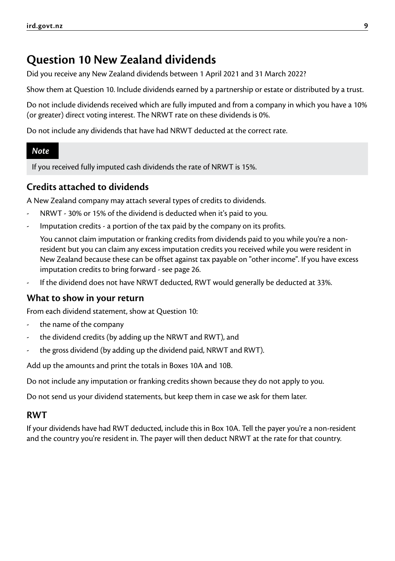## <span id="page-8-0"></span>**Question 10 New Zealand dividends**

Did you receive any New Zealand dividends between 1 April 2021 and 31 March 2022?

Show them at Question 10. Include dividends earned by a partnership or estate or distributed by a trust.

Do not include dividends received which are fully imputed and from a company in which you have a 10% (or greater) direct voting interest. The NRWT rate on these dividends is 0%.

Do not include any dividends that have had NRWT deducted at the correct rate.

#### *Note*

If you received fully imputed cash dividends the rate of NRWT is 15%.

### **Credits attached to dividends**

A New Zealand company may attach several types of credits to dividends.

- NRWT 30% or 15% of the dividend is deducted when it's paid to you.
- Imputation credits a portion of the tax paid by the company on its profits.

 You cannot claim imputation or franking credits from dividends paid to you while you're a nonresident but you can claim any excess imputation credits you received while you were resident in New Zealand because these can be offset against tax payable on "other income". If you have excess imputation credits to bring forward - see page 26.

- If the dividend does not have NRWT deducted, RWT would generally be deducted at 33%.

#### **What to show in your return**

From each dividend statement, show at Question 10:

- the name of the company
- the dividend credits (by adding up the NRWT and RWT), and
- the gross dividend (by adding up the dividend paid, NRWT and RWT).

Add up the amounts and print the totals in Boxes 10A and 10B.

Do not include any imputation or franking credits shown because they do not apply to you.

Do not send us your dividend statements, but keep them in case we ask for them later.

#### **RWT**

If your dividends have had RWT deducted, include this in Box 10A. Tell the payer you're a non-resident and the country you're resident in. The payer will then deduct NRWT at the rate for that country.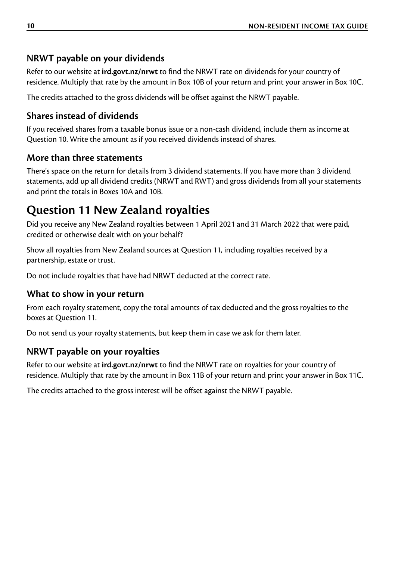### <span id="page-9-0"></span>**NRWT payable on your dividends**

Refer to our website at **[ird.govt.nz/nrwt](http://ird.govt.nz/nrwt)** to find the NRWT rate on dividends for your country of residence. Multiply that rate by the amount in Box 10B of your return and print your answer in Box 10C.

The credits attached to the gross dividends will be offset against the NRWT payable.

### **Shares instead of dividends**

If you received shares from a taxable bonus issue or a non-cash dividend, include them as income at Question 10. Write the amount as if you received dividends instead of shares.

### **More than three statements**

There's space on the return for details from 3 dividend statements. If you have more than 3 dividend statements, add up all dividend credits (NRWT and RWT) and gross dividends from all your statements and print the totals in Boxes 10A and 10B.

## **Question 11 New Zealand royalties**

Did you receive any New Zealand royalties between 1 April 2021 and 31 March 2022 that were paid, credited or otherwise dealt with on your behalf?

Show all royalties from New Zealand sources at Question 11, including royalties received by a partnership, estate or trust.

Do not include royalties that have had NRWT deducted at the correct rate.

### **What to show in your return**

From each royalty statement, copy the total amounts of tax deducted and the gross royalties to the boxes at Question 11.

Do not send us your royalty statements, but keep them in case we ask for them later.

### **NRWT payable on your royalties**

Refer to our website at **[ird.govt.nz/nrwt](http://ird.govt.nz/nrwt)** to find the NRWT rate on royalties for your country of residence. Multiply that rate by the amount in Box 11B of your return and print your answer in Box 11C.

The credits attached to the gross interest will be offset against the NRWT payable.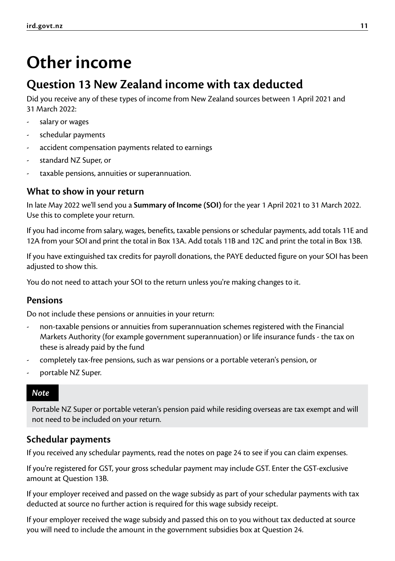# <span id="page-10-0"></span>**Other income**

### **Question 13 New Zealand income with tax deducted**

Did you receive any of these types of income from New Zealand sources between 1 April 2021 and 31 March 2022:

- salary or wages
- schedular payments
- accident compensation payments related to earnings
- standard NZ Super, or
- taxable pensions, annuities or superannuation.

#### **What to show in your return**

In late May 2022 we'll send you a **Summary of Income (SOI)** for the year 1 April 2021 to 31 March 2022. Use this to complete your return.

If you had income from salary, wages, benefits, taxable pensions or schedular payments, add totals 11E and 12A from your SOI and print the total in Box 13A. Add totals 11B and 12C and print the total in Box 13B.

If you have extinguished tax credits for payroll donations, the PAYE deducted figure on your SOI has been adjusted to show this.

You do not need to attach your SOI to the return unless you're making changes to it.

#### **Pensions**

Do not include these pensions or annuities in your return:

- non-taxable pensions or annuities from superannuation schemes registered with the Financial Markets Authority (for example government superannuation) or life insurance funds - the tax on these is already paid by the fund
- completely tax-free pensions, such as war pensions or a portable veteran's pension, or
- portable NZ Super.

#### *Note*

Portable NZ Super or portable veteran's pension paid while residing overseas are tax exempt and will not need to be included on your return.

#### **Schedular payments**

If you received any schedular payments, read the notes on page 24 to see if you can claim expenses.

If you're registered for GST, your gross schedular payment may include GST. Enter the GST-exclusive amount at Question 13B.

If your employer received and passed on the wage subsidy as part of your schedular payments with tax deducted at source no further action is required for this wage subsidy receipt.

If your employer received the wage subsidy and passed this on to you without tax deducted at source you will need to include the amount in the government subsidies box at Question 24.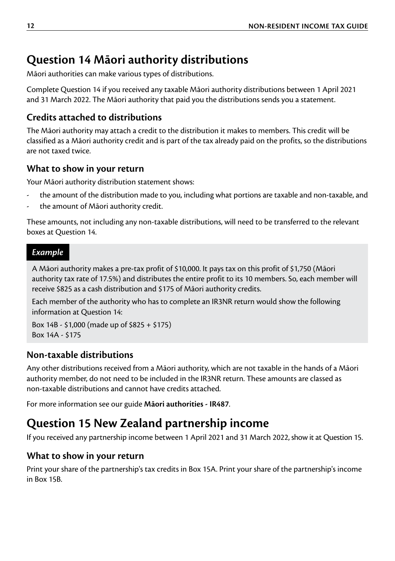## <span id="page-11-0"></span>**Question 14 Māori authority distributions**

Māori authorities can make various types of distributions.

Complete Question 14 if you received any taxable Māori authority distributions between 1 April 2021 and 31 March 2022. The Māori authority that paid you the distributions sends you a statement.

### **Credits attached to distributions**

The Māori authority may attach a credit to the distribution it makes to members. This credit will be classified as a Māori authority credit and is part of the tax already paid on the profits, so the distributions are not taxed twice.

### **What to show in your return**

Your Māori authority distribution statement shows:

- the amount of the distribution made to you, including what portions are taxable and non-taxable, and
- the amount of Māori authority credit.

These amounts, not including any non-taxable distributions, will need to be transferred to the relevant boxes at Question 14.

#### *Example*

A Māori authority makes a pre-tax profit of \$10,000. It pays tax on this profit of \$1,750 (Māori authority tax rate of 17.5%) and distributes the entire profit to its 10 members. So, each member will receive \$825 as a cash distribution and \$175 of Māori authority credits.

Each member of the authority who has to complete an IR3NR return would show the following information at Question 14:

Box 14B - \$1,000 (made up of \$825 + \$175) Box 14A - \$175

### **Non-taxable distributions**

Any other distributions received from a Māori authority, which are not taxable in the hands of a Māori authority member, do not need to be included in the IR3NR return. These amounts are classed as non-taxable distributions and cannot have credits attached.

For more information see our guide **Māori authorities - IR487**.

## **Question 15 New Zealand partnership income**

If you received any partnership income between 1 April 2021 and 31 March 2022, show it at Question 15.

### **What to show in your return**

Print your share of the partnership's tax credits in Box 15A. Print your share of the partnership's income in Box 15B.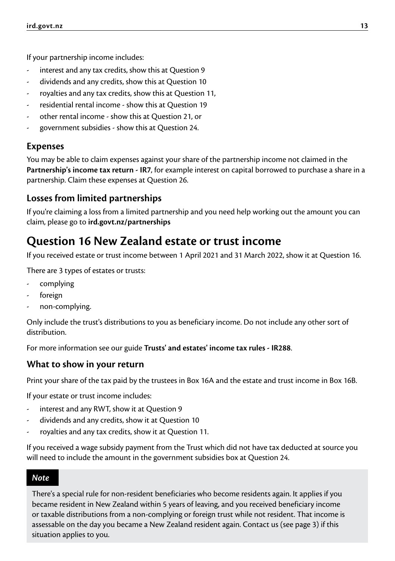<span id="page-12-0"></span>If your partnership income includes:

- interest and any tax credits, show this at Question 9
- dividends and any credits, show this at Question 10
- royalties and any tax credits, show this at Question 11,
- residential rental income show this at Question 19
- other rental income show this at Question 21, or
- government subsidies show this at Question 24.

#### **Expenses**

You may be able to claim expenses against your share of the partnership income not claimed in the **Partnership's income tax return - IR7**, for example interest on capital borrowed to purchase a share in a partnership. Claim these expenses at Question 26.

#### **Losses from limited partnerships**

If you're claiming a loss from a limited partnership and you need help working out the amount you can claim, please go to **[ird.govt.nz/partnerships](http://ird.govt.nz/partnerships)**

### **Question 16 New Zealand estate or trust income**

If you received estate or trust income between 1 April 2021 and 31 March 2022, show it at Question 16.

There are 3 types of estates or trusts:

- complying
- foreign
- non-complying.

Only include the trust's distributions to you as beneficiary income. Do not include any other sort of distribution.

For more information see our guide **Trusts' and estates' income tax rules - IR288**.

#### **What to show in your return**

Print your share of the tax paid by the trustees in Box 16A and the estate and trust income in Box 16B.

If your estate or trust income includes:

- interest and any RWT, show it at Ouestion 9
- dividends and any credits, show it at Question 10
- royalties and any tax credits, show it at Question 11.

If you received a wage subsidy payment from the Trust which did not have tax deducted at source you will need to include the amount in the government subsidies box at Question 24.

#### *Note*

There's a special rule for non-resident beneficiaries who become residents again. It applies if you became resident in New Zealand within 5 years of leaving, and you received beneficiary income or taxable distributions from a non-complying or foreign trust while not resident. That income is assessable on the day you became a New Zealand resident again. Contact us (see page 3) if this situation applies to you.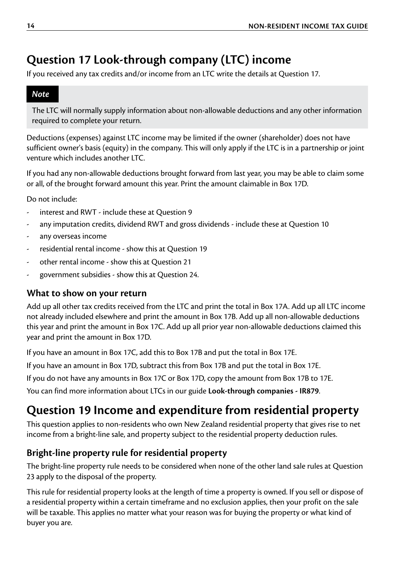## <span id="page-13-0"></span>**Question 17 Look-through company (LTC) income**

If you received any tax credits and/or income from an LTC write the details at Question 17.

#### *Note*

The LTC will normally supply information about non-allowable deductions and any other information required to complete your return.

Deductions (expenses) against LTC income may be limited if the owner (shareholder) does not have sufficient owner's basis (equity) in the company. This will only apply if the LTC is in a partnership or joint venture which includes another LTC.

If you had any non-allowable deductions brought forward from last year, you may be able to claim some or all, of the brought forward amount this year. Print the amount claimable in Box 17D.

Do not include:

- interest and RWT include these at Question 9
- any imputation credits, dividend RWT and gross dividends include these at Question 10
- any overseas income
- residential rental income show this at Question 19
- other rental income show this at Ouestion 21
- government subsidies show this at Question 24.

#### **What to show on your return**

Add up all other tax credits received from the LTC and print the total in Box 17A. Add up all LTC income not already included elsewhere and print the amount in Box 17B. Add up all non-allowable deductions this year and print the amount in Box 17C. Add up all prior year non-allowable deductions claimed this year and print the amount in Box 17D.

If you have an amount in Box 17C, add this to Box 17B and put the total in Box 17E.

If you have an amount in Box 17D, subtract this from Box 17B and put the total in Box 17E.

If you do not have any amounts in Box 17C or Box 17D, copy the amount from Box 17B to 17E.

You can find more information about LTCs in our guide **Look-through companies - IR879**.

### **Question 19 Income and expenditure from residential property**

This question applies to non-residents who own New Zealand residential property that gives rise to net income from a bright-line sale, and property subject to the residential property deduction rules.

#### **Bright-line property rule for residential property**

The bright-line property rule needs to be considered when none of the other land sale rules at Question 23 apply to the disposal of the property.

This rule for residential property looks at the length of time a property is owned. If you sell or dispose of a residential property within a certain timeframe and no exclusion applies, then your profit on the sale will be taxable. This applies no matter what your reason was for buying the property or what kind of buyer you are.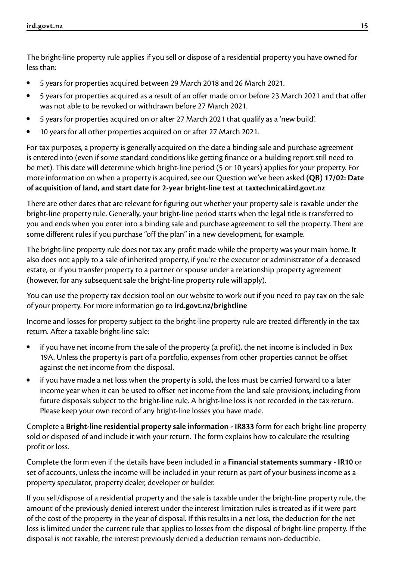The bright-line property rule applies if you sell or dispose of a residential property you have owned for less than:

- 5 years for properties acquired between 29 March 2018 and 26 March 2021.
- 5 years for properties acquired as a result of an offer made on or before 23 March 2021 and that offer was not able to be revoked or withdrawn before 27 March 2021.
- 5 years for properties acquired on or after 27 March 2021 that qualify as a 'new build'.
- 10 years for all other properties acquired on or after 27 March 2021.

For tax purposes, a property is generally acquired on the date a binding sale and purchase agreement is entered into (even if some standard conditions like getting finance or a building report still need to be met). This date will determine which bright-line period (5 or 10 years) applies for your property. For more information on when a property is acquired, see our Question we've been asked **(QB) 17/02: Date of acquisition of land, and start date for 2-year bright-line test** at **[taxtechnical.ird.govt.nz](http://taxtechnical.ird.govt.nz)**

There are other dates that are relevant for figuring out whether your property sale is taxable under the bright-line property rule. Generally, your bright-line period starts when the legal title is transferred to you and ends when you enter into a binding sale and purchase agreement to sell the property. There are some different rules if you purchase "off the plan" in a new development, for example.

The bright-line property rule does not tax any profit made while the property was your main home. It also does not apply to a sale of inherited property, if you're the executor or administrator of a deceased estate, or if you transfer property to a partner or spouse under a relationship property agreement (however, for any subsequent sale the bright-line property rule will apply).

You can use the property tax decision tool on our website to work out if you need to pay tax on the sale of your property. For more information go to **[ird.govt.nz/brightline](http://ird.govt.nz/brightline)**

Income and losses for property subject to the bright-line property rule are treated differently in the tax return. After a taxable bright-line sale:

- if you have net income from the sale of the property (a profit), the net income is included in Box 19A. Unless the property is part of a portfolio, expenses from other properties cannot be offset against the net income from the disposal.
- if you have made a net loss when the property is sold, the loss must be carried forward to a later income year when it can be used to offset net income from the land sale provisions, including from future disposals subject to the bright-line rule. A bright-line loss is not recorded in the tax return. Please keep your own record of any bright-line losses you have made.

Complete a **Bright-line residential property sale information - IR833** form for each bright-line property sold or disposed of and include it with your return. The form explains how to calculate the resulting profit or loss.

Complete the form even if the details have been included in a **Financial statements summary - IR10** or set of accounts, unless the income will be included in your return as part of your business income as a property speculator, property dealer, developer or builder.

If you sell/dispose of a residential property and the sale is taxable under the bright-line property rule, the amount of the previously denied interest under the interest limitation rules is treated as if it were part of the cost of the property in the year of disposal. If this results in a net loss, the deduction for the net loss is limited under the current rule that applies to losses from the disposal of bright-line property. If the disposal is not taxable, the interest previously denied a deduction remains non-deductible.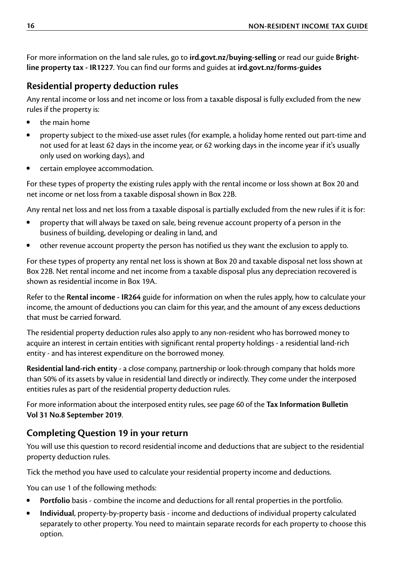For more information on the land sale rules, go to **[ird.govt.nz/buying-selling](http://ird.govt.nz/buying-selling)** or read our guide **Brightline property tax - IR1227**. You can find our forms and guides at **[ird.govt.nz/forms-guides](http://ird.govt.nz/forms-guides)**

#### **Residential property deduction rules**

Any rental income or loss and net income or loss from a taxable disposal is fully excluded from the new rules if the property is:

- the main home
- property subject to the mixed-use asset rules (for example, a holiday home rented out part-time and not used for at least 62 days in the income year, or 62 working days in the income year if it's usually only used on working days), and
- certain employee accommodation.

For these types of property the existing rules apply with the rental income or loss shown at Box 20 and net income or net loss from a taxable disposal shown in Box 22B.

Any rental net loss and net loss from a taxable disposal is partially excluded from the new rules if it is for:

- property that will always be taxed on sale, being revenue account property of a person in the business of building, developing or dealing in land, and
- other revenue account property the person has notified us they want the exclusion to apply to.

For these types of property any rental net loss is shown at Box 20 and taxable disposal net loss shown at Box 22B. Net rental income and net income from a taxable disposal plus any depreciation recovered is shown as residential income in Box 19A.

Refer to the **Rental income - IR264** guide for information on when the rules apply, how to calculate your income, the amount of deductions you can claim for this year, and the amount of any excess deductions that must be carried forward.

The residential property deduction rules also apply to any non-resident who has borrowed money to acquire an interest in certain entities with significant rental property holdings - a residential land-rich entity - and has interest expenditure on the borrowed money.

**Residential land-rich entity** - a close company, partnership or look-through company that holds more than 50% of its assets by value in residential land directly or indirectly. They come under the interposed entities rules as part of the residential property deduction rules.

For more information about the interposed entity rules, see page 60 of the **Tax Information Bulletin Vol 31 No.8 September 2019**.

#### **Completing Question 19 in your return**

You will use this question to record residential income and deductions that are subject to the residential property deduction rules.

Tick the method you have used to calculate your residential property income and deductions.

You can use 1 of the following methods:

- **Portfolio** basis combine the income and deductions for all rental properties in the portfolio.
- **Individual**, property-by-property basis income and deductions of individual property calculated separately to other property. You need to maintain separate records for each property to choose this option.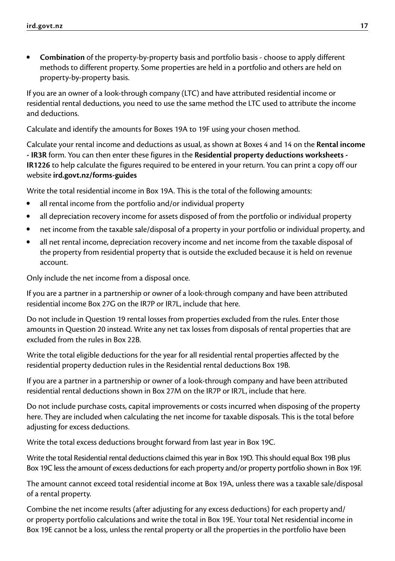**• Combination** of the property-by-property basis and portfolio basis - choose to apply different methods to different property. Some properties are held in a portfolio and others are held on property-by-property basis.

If you are an owner of a look-through company (LTC) and have attributed residential income or residential rental deductions, you need to use the same method the LTC used to attribute the income and deductions.

Calculate and identify the amounts for Boxes 19A to 19F using your chosen method.

Calculate your rental income and deductions as usual, as shown at Boxes 4 and 14 on the **Rental income - IR3R** form. You can then enter these figures in the **Residential property deductions worksheets - IR1226** to help calculate the figures required to be entered in your return. You can print a copy off our website **[ird.govt.nz/forms-guides](http://ird.govt.nz/forms-guides)**

Write the total residential income in Box 19A. This is the total of the following amounts:

- all rental income from the portfolio and/or individual property
- all depreciation recovery income for assets disposed of from the portfolio or individual property
- net income from the taxable sale/disposal of a property in your portfolio or individual property, and
- all net rental income, depreciation recovery income and net income from the taxable disposal of the property from residential property that is outside the excluded because it is held on revenue account.

Only include the net income from a disposal once.

If you are a partner in a partnership or owner of a look-through company and have been attributed residential income Box 27G on the IR7P or IR7L, include that here.

Do not include in Question 19 rental losses from properties excluded from the rules. Enter those amounts in Question 20 instead. Write any net tax losses from disposals of rental properties that are excluded from the rules in Box 22B.

Write the total eligible deductions for the year for all residential rental properties affected by the residential property deduction rules in the Residential rental deductions Box 19B.

If you are a partner in a partnership or owner of a look-through company and have been attributed residential rental deductions shown in Box 27M on the IR7P or IR7L, include that here.

Do not include purchase costs, capital improvements or costs incurred when disposing of the property here. They are included when calculating the net income for taxable disposals. This is the total before adjusting for excess deductions.

Write the total excess deductions brought forward from last year in Box 19C.

Write the total Residential rental deductions claimed this year in Box 19D. This should equal Box 19B plus Box 19C less the amount of excess deductions for each property and/or property portfolio shown in Box 19F.

The amount cannot exceed total residential income at Box 19A, unless there was a taxable sale/disposal of a rental property.

Combine the net income results (after adjusting for any excess deductions) for each property and/ or property portfolio calculations and write the total in Box 19E. Your total Net residential income in Box 19E cannot be a loss, unless the rental property or all the properties in the portfolio have been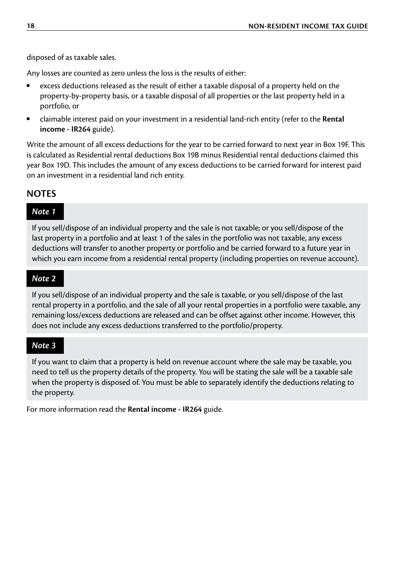disposed of as taxable sales.

Any losses are counted as zero unless the loss is the results of either:

- excess deductions released as the result of either a taxable disposal of a property held on the property-by-property basis, or a taxable disposal of all properties or the last property held in a portfolio, or
- claimable interest paid on your investment in a residential land-rich entity (refer to the **Rental income - IR264** guide).

Write the amount of all excess deductions for the year to be carried forward to next year in Box 19F. This is calculated as Residential rental deductions Box 19B minus Residential rental deductions claimed this year Box 19D. This includes the amount of any excess deductions to be carried forward for interest paid on an investment in a residential land rich entity.

#### **NOTES**

#### *Note 1*

If you sell/dispose of an individual property and the sale is not taxable; or you sell/dispose of the last property in a portfolio and at least 1 of the sales in the portfolio was not taxable, any excess deductions will transfer to another property or portfolio and be carried forward to a future year in which you earn income from a residential rental property (including properties on revenue account).

#### *Note 2*

If you sell/dispose of an individual property and the sale is taxable, or you sell/dispose of the last rental property in a portfolio, and the sale of all your rental properties in a portfolio were taxable, any remaining loss/excess deductions are released and can be offset against other income. However, this does not include any excess deductions transferred to the portfolio/property.

#### *Note 3*

If you want to claim that a property is held on revenue account where the sale may be taxable, you need to tell us the property details of the property. You will be stating the sale will be a taxable sale when the property is disposed of. You must be able to separately identify the deductions relating to the property.

For more information read the **Rental income - IR264** guide.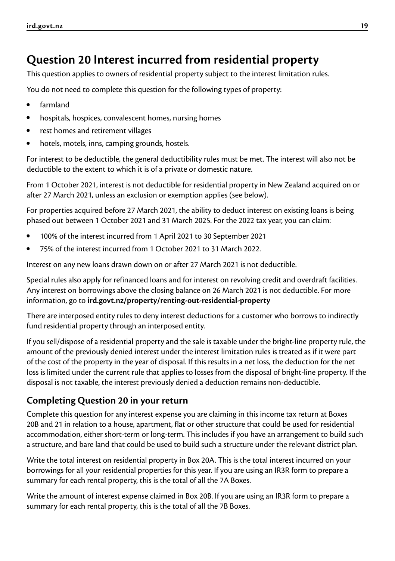## <span id="page-18-0"></span>**Question 20 Interest incurred from residential property**

This question applies to owners of residential property subject to the interest limitation rules.

You do not need to complete this question for the following types of property:

- farmland
- hospitals, hospices, convalescent homes, nursing homes
- rest homes and retirement villages
- hotels, motels, inns, camping grounds, hostels.

For interest to be deductible, the general deductibility rules must be met. The interest will also not be deductible to the extent to which it is of a private or domestic nature.

From 1 October 2021, interest is not deductible for residential property in New Zealand acquired on or after 27 March 2021, unless an exclusion or exemption applies (see below).

For properties acquired before 27 March 2021, the ability to deduct interest on existing loans is being phased out between 1 October 2021 and 31 March 2025. For the 2022 tax year, you can claim:

- 100% of the interest incurred from 1 April 2021 to 30 September 2021
- 75% of the interest incurred from 1 October 2021 to 31 March 2022.

Interest on any new loans drawn down on or after 27 March 2021 is not deductible.

Special rules also apply for refinanced loans and for interest on revolving credit and overdraft facilities. Any interest on borrowings above the closing balance on 26 March 2021 is not deductible. For more information, go to **[ird.govt.nz/property/renting-out-residential-property](http://ird.govt.nz/property/renting-out-residential-property)**

There are interposed entity rules to deny interest deductions for a customer who borrows to indirectly fund residential property through an interposed entity.

If you sell/dispose of a residential property and the sale is taxable under the bright-line property rule, the amount of the previously denied interest under the interest limitation rules is treated as if it were part of the cost of the property in the year of disposal. If this results in a net loss, the deduction for the net loss is limited under the current rule that applies to losses from the disposal of bright-line property. If the disposal is not taxable, the interest previously denied a deduction remains non-deductible.

#### **Completing Question 20 in your return**

Complete this question for any interest expense you are claiming in this income tax return at Boxes 20B and 21 in relation to a house, apartment, flat or other structure that could be used for residential accommodation, either short-term or long-term. This includes if you have an arrangement to build such a structure, and bare land that could be used to build such a structure under the relevant district plan.

Write the total interest on residential property in Box 20A. This is the total interest incurred on your borrowings for all your residential properties for this year. If you are using an IR3R form to prepare a summary for each rental property, this is the total of all the 7A Boxes.

Write the amount of interest expense claimed in Box 20B. If you are using an IR3R form to prepare a summary for each rental property, this is the total of all the 7B Boxes.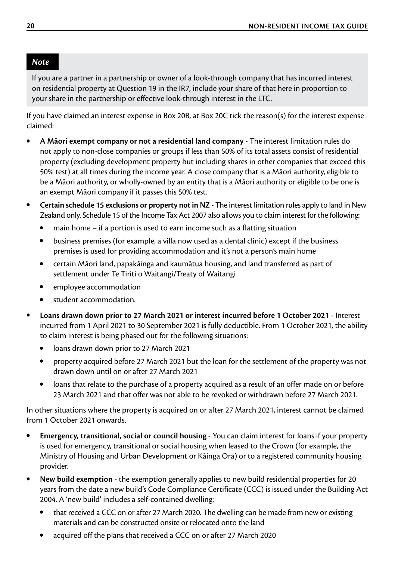#### *Note*

If you are a partner in a partnership or owner of a look-through company that has incurred interest on residential property at Question 19 in the IR7, include your share of that here in proportion to your share in the partnership or effective look-through interest in the LTC.

If you have claimed an interest expense in Box 20B, at Box 20C tick the reason(s) for the interest expense claimed:

- **A Māori exempt company or not a residential land company** The interest limitation rules do not apply to non-close companies or groups if less than 50% of its total assets consist of residential property (excluding development property but including shares in other companies that exceed this 50% test) at all times during the income year. A close company that is a Māori authority, eligible to be a Māori authority, or wholly-owned by an entity that is a Māori authority or eligible to be one is an exempt Māori company if it passes this 50% test.
- **Certain schedule 15 exclusions or property not in NZ** The interest limitation rules apply to land in New Zealand only. Schedule 15 of the Income Tax Act 2007 also allows you to claim interest for the following:
	- main home if a portion is used to earn income such as a flatting situation
	- business premises (for example, a villa now used as a dental clinic) except if the business premises is used for providing accommodation and it's not a person's main home
	- certain Māori land, papakāinga and kaumātua housing, and land transferred as part of settlement under Te Tiriti o Waitangi/Treaty of Waitangi
	- employee accommodation
	- student accommodation.
- **Loans drawn down prior to 27 March 2021 or interest incurred before 1 October 2021** Interest incurred from 1 April 2021 to 30 September 2021 is fully deductible. From 1 October 2021, the ability to claim interest is being phased out for the following situations:
	- loans drawn down prior to 27 March 2021
	- property acquired before 27 March 2021 but the loan for the settlement of the property was not drawn down until on or after 27 March 2021
	- loans that relate to the purchase of a property acquired as a result of an offer made on or before 23 March 2021 and that offer was not able to be revoked or withdrawn before 27 March 2021.

In other situations where the property is acquired on or after 27 March 2021, interest cannot be claimed from 1 October 2021 onwards.

- **Emergency, transitional, social or council housing** You can claim interest for loans if your property is used for emergency, transitional or social housing when leased to the Crown (for example, the Ministry of Housing and Urban Development or Kāinga Ora) or to a registered community housing provider.
- **New build exemption** the exemption generally applies to new build residential properties for 20 years from the date a new build's Code Compliance Certificate (CCC) is issued under the Building Act 2004. A 'new build' includes a self-contained dwelling:
	- that received a CCC on or after 27 March 2020. The dwelling can be made from new or existing materials and can be constructed onsite or relocated onto the land
	- acquired off the plans that received a CCC on or after 27 March 2020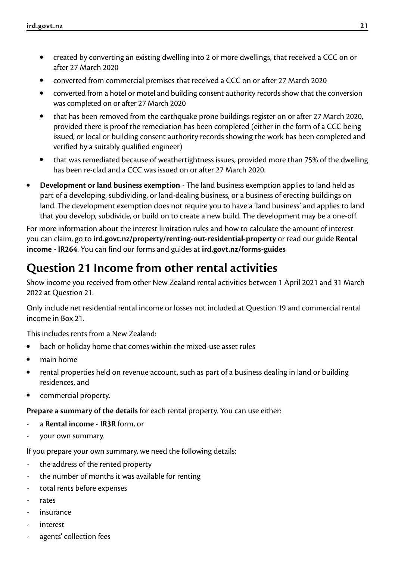- <span id="page-20-0"></span>**•** created by converting an existing dwelling into 2 or more dwellings, that received a CCC on or after 27 March 2020
- converted from commercial premises that received a CCC on or after 27 March 2020
- converted from a hotel or motel and building consent authority records show that the conversion was completed on or after 27 March 2020
- that has been removed from the earthquake prone buildings register on or after 27 March 2020, provided there is proof the remediation has been completed (either in the form of a CCC being issued, or local or building consent authority records showing the work has been completed and verified by a suitably qualified engineer)
- that was remediated because of weathertightness issues, provided more than 75% of the dwelling has been re-clad and a CCC was issued on or after 27 March 2020.
- **Development or land business exemption** The land business exemption applies to land held as part of a developing, subdividing, or land-dealing business, or a business of erecting buildings on land. The development exemption does not require you to have a 'land business' and applies to land that you develop, subdivide, or build on to create a new build. The development may be a one-off.

For more information about the interest limitation rules and how to calculate the amount of interest you can claim, go to **[ird.govt.nz/property/renting-out-residential-property](http://ird.govt.nz/property/renting-out-residential-property)** or read our guide **Rental income - IR264**. You can find our forms and guides at **[ird.govt.nz/forms-guides](http://ird.govt.nz/forms-guides)**

## **Question 21 Income from other rental activities**

Show income you received from other New Zealand rental activities between 1 April 2021 and 31 March 2022 at Question 21.

Only include net residential rental income or losses not included at Question 19 and commercial rental income in Box 21.

This includes rents from a New Zealand:

- bach or holiday home that comes within the mixed-use asset rules
- main home
- rental properties held on revenue account, such as part of a business dealing in land or building residences, and
- commercial property.

**Prepare a summary of the details** for each rental property. You can use either:

- a **Rental income IR3R** form, or
- your own summary.

If you prepare your own summary, we need the following details:

- the address of the rented property
- the number of months it was available for renting
- total rents before expenses
- rates
- insurance
- interest
- agents' collection fees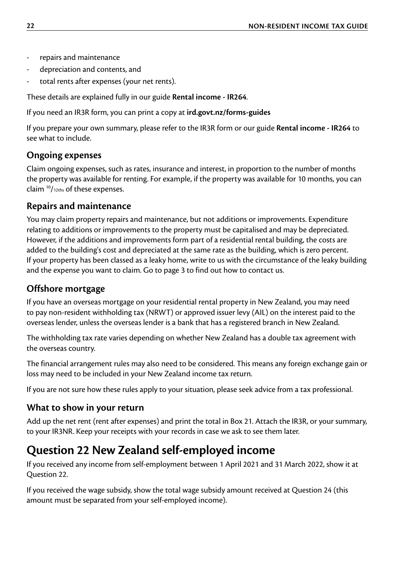- <span id="page-21-0"></span>repairs and maintenance
- depreciation and contents, and
- total rents after expenses (your net rents).

These details are explained fully in our guide **Rental income - IR264**.

If you need an IR3R form, you can print a copy at **[ird.govt.nz/forms-guides](http://ird.govt.nz/forms-guides)**

If you prepare your own summary, please refer to the IR3R form or our guide **Rental income - IR264** to see what to include.

#### **Ongoing expenses**

Claim ongoing expenses, such as rates, insurance and interest, in proportion to the number of months the property was available for renting. For example, if the property was available for 10 months, you can claim 10/12ths of these expenses.

#### **Repairs and maintenance**

You may claim property repairs and maintenance, but not additions or improvements. Expenditure relating to additions or improvements to the property must be capitalised and may be depreciated. However, if the additions and improvements form part of a residential rental building, the costs are added to the building's cost and depreciated at the same rate as the building, which is zero percent. If your property has been classed as a leaky home, write to us with the circumstance of the leaky building and the expense you want to claim. Go to page 3 to find out how to contact us.

#### **Offshore mortgage**

If you have an overseas mortgage on your residential rental property in New Zealand, you may need to pay non-resident withholding tax (NRWT) or approved issuer levy (AIL) on the interest paid to the overseas lender, unless the overseas lender is a bank that has a registered branch in New Zealand.

The withholding tax rate varies depending on whether New Zealand has a double tax agreement with the overseas country.

The financial arrangement rules may also need to be considered. This means any foreign exchange gain or loss may need to be included in your New Zealand income tax return.

If you are not sure how these rules apply to your situation, please seek advice from a tax professional.

#### **What to show in your return**

Add up the net rent (rent after expenses) and print the total in Box 21. Attach the IR3R, or your summary, to your IR3NR. Keep your receipts with your records in case we ask to see them later.

### **Question 22 New Zealand self-employed income**

If you received any income from self-employment between 1 April 2021 and 31 March 2022, show it at Question 22.

If you received the wage subsidy, show the total wage subsidy amount received at Question 24 (this amount must be separated from your self-employed income).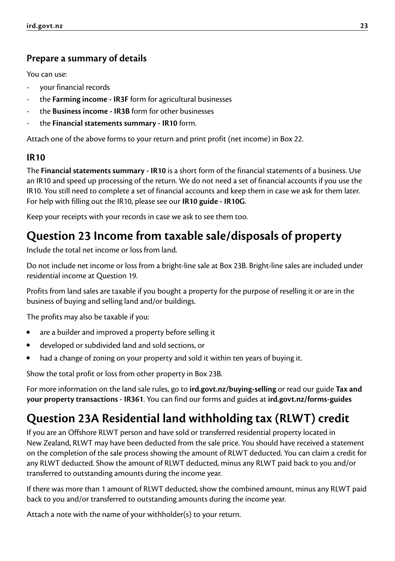### <span id="page-22-0"></span>**Prepare a summary of details**

You can use:

- your financial records
- the **Farming income IR3F** form for agricultural businesses
- the **Business income IR3B** form for other businesses
- the **Financial statements summary IR10** form.

Attach one of the above forms to your return and print profit (net income) in Box 22.

#### **IR10**

The **Financial statements summary - IR10** is a short form of the financial statements of a business. Use an IR10 and speed up processing of the return. We do not need a set of financial accounts if you use the IR10. You still need to complete a set of financial accounts and keep them in case we ask for them later. For help with filling out the IR10, please see our **IR10 guide - IR10G**.

Keep your receipts with your records in case we ask to see them too.

### **Question 23 Income from taxable sale/disposals of property**

Include the total net income or loss from land.

Do not include net income or loss from a bright-line sale at Box 23B. Bright-line sales are included under residential income at Question 19.

Profits from land sales are taxable if you bought a property for the purpose of reselling it or are in the business of buying and selling land and/or buildings.

The profits may also be taxable if you:

- are a builder and improved a property before selling it
- developed or subdivided land and sold sections, or
- had a change of zoning on your property and sold it within ten years of buying it.

Show the total profit or loss from other property in Box 23B.

For more information on the land sale rules, go to **[ird.govt.nz/buying-selling](http://ird.govt.nz/buying-selling)** or read our guide **Tax and your property transactions - IR361**. You can find our forms and guides at **[ird.govt.nz/forms-guides](http://ird.govt.nz/forms-guides)**

## **Question 23A Residential land withholding tax (RLWT) credit**

If you are an Offshore RLWT person and have sold or transferred residential property located in New Zealand, RLWT may have been deducted from the sale price. You should have received a statement on the completion of the sale process showing the amount of RLWT deducted. You can claim a credit for any RLWT deducted. Show the amount of RLWT deducted, minus any RLWT paid back to you and/or transferred to outstanding amounts during the income year.

If there was more than 1 amount of RLWT deducted, show the combined amount, minus any RLWT paid back to you and/or transferred to outstanding amounts during the income year.

Attach a note with the name of your withholder(s) to your return.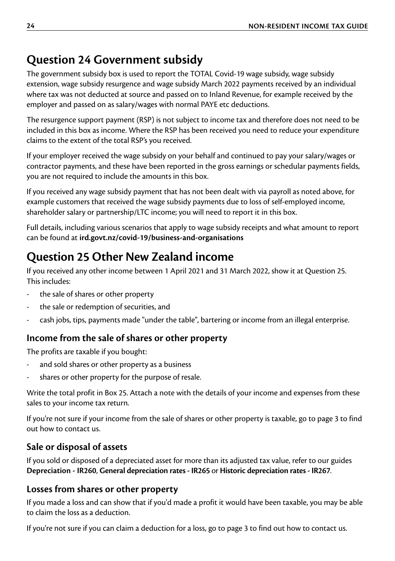## <span id="page-23-0"></span>**Question 24 Government subsidy**

The government subsidy box is used to report the TOTAL Covid-19 wage subsidy, wage subsidy extension, wage subsidy resurgence and wage subsidy March 2022 payments received by an individual where tax was not deducted at source and passed on to Inland Revenue, for example received by the employer and passed on as salary/wages with normal PAYE etc deductions.

The resurgence support payment (RSP) is not subject to income tax and therefore does not need to be included in this box as income. Where the RSP has been received you need to reduce your expenditure claims to the extent of the total RSP's you received.

If your employer received the wage subsidy on your behalf and continued to pay your salary/wages or contractor payments, and these have been reported in the gross earnings or schedular payments fields, you are not required to include the amounts in this box.

If you received any wage subsidy payment that has not been dealt with via payroll as noted above, for example customers that received the wage subsidy payments due to loss of self-employed income, shareholder salary or partnership/LTC income; you will need to report it in this box.

Full details, including various scenarios that apply to wage subsidy receipts and what amount to report can be found at **[ird.govt.nz/covid-19/business-and-organisations](http://ird.govt.nz/covid-19/business-and-organisations)**

## **Question 25 Other New Zealand income**

If you received any other income between 1 April 2021 and 31 March 2022, show it at Question 25. This includes:

- the sale of shares or other property
- the sale or redemption of securities, and
- cash jobs, tips, payments made "under the table", bartering or income from an illegal enterprise.

### **Income from the sale of shares or other property**

The profits are taxable if you bought:

- and sold shares or other property as a business
- shares or other property for the purpose of resale.

Write the total profit in Box 25. Attach a note with the details of your income and expenses from these sales to your income tax return.

If you're not sure if your income from the sale of shares or other property is taxable, go to page 3 to find out how to contact us.

### **Sale or disposal of assets**

If you sold or disposed of a depreciated asset for more than its adjusted tax value, refer to our guides **Depreciation - IR260**, **General depreciation rates - IR265** or **Historic depreciation rates - IR267**.

### **Losses from shares or other property**

If you made a loss and can show that if you'd made a profit it would have been taxable, you may be able to claim the loss as a deduction.

If you're not sure if you can claim a deduction for a loss, go to page 3 to find out how to contact us.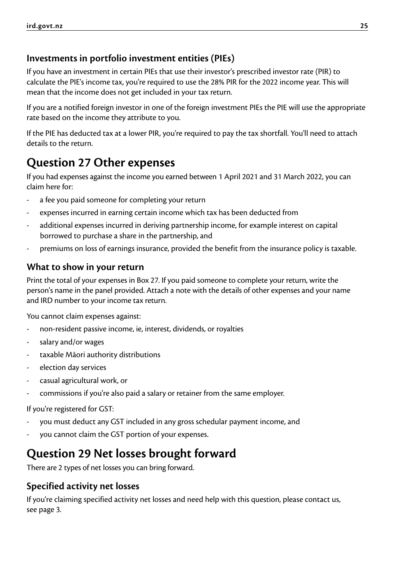### <span id="page-24-0"></span>**Investments in portfolio investment entities (PIEs)**

If you have an investment in certain PIEs that use their investor's prescribed investor rate (PIR) to calculate the PIE's income tax, you're required to use the 28% PIR for the 2022 income year. This will mean that the income does not get included in your tax return.

If you are a notified foreign investor in one of the foreign investment PIEs the PIE will use the appropriate rate based on the income they attribute to you.

If the PIE has deducted tax at a lower PIR, you're required to pay the tax shortfall. You'll need to attach details to the return.

## **Question 27 Other expenses**

If you had expenses against the income you earned between 1 April 2021 and 31 March 2022, you can claim here for:

- a fee you paid someone for completing your return
- expenses incurred in earning certain income which tax has been deducted from
- additional expenses incurred in deriving partnership income, for example interest on capital borrowed to purchase a share in the partnership, and
- premiums on loss of earnings insurance, provided the benefit from the insurance policy is taxable.

#### **What to show in your return**

Print the total of your expenses in Box 27. If you paid someone to complete your return, write the person's name in the panel provided. Attach a note with the details of other expenses and your name and IRD number to your income tax return.

You cannot claim expenses against:

- non-resident passive income, ie, interest, dividends, or royalties
- salary and/or wages
- taxable Māori authority distributions
- election day services
- casual agricultural work, or
- commissions if you're also paid a salary or retainer from the same employer.

If you're registered for GST:

- you must deduct any GST included in any gross schedular payment income, and
- you cannot claim the GST portion of your expenses.

### **Question 29 Net losses brought forward**

There are 2 types of net losses you can bring forward.

### **Specified activity net losses**

If you're claiming specified activity net losses and need help with this question, please contact us, see page 3.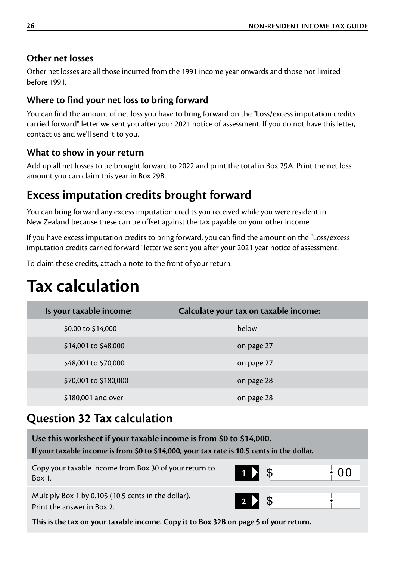### **Other net losses**

Other net losses are all those incurred from the 1991 income year onwards and those not limited before 1991.

### **Where to find your net loss to bring forward**

You can find the amount of net loss you have to bring forward on the "Loss/excess imputation credits carried forward" letter we sent you after your 2021 notice of assessment. If you do not have this letter, contact us and we'll send it to you.

### **What to show in your return**

Add up all net losses to be brought forward to 2022 and print the total in Box 29A. Print the net loss amount you can claim this year in Box 29B.

### **Excess imputation credits brought forward**

You can bring forward any excess imputation credits you received while you were resident in New Zealand because these can be offset against the tax payable on your other income.

If you have excess imputation credits to bring forward, you can find the amount on the "Loss/excess imputation credits carried forward" letter we sent you after your 2021 year notice of assessment.

To claim these credits, attach a note to the front of your return.

# **Tax calculation**

| Is your taxable income: | Calculate your tax on taxable income: |
|-------------------------|---------------------------------------|
| \$0.00 to \$14,000      | below                                 |
| \$14,001 to \$48,000    | on page 27                            |
| \$48,001 to \$70,000    | on page 27                            |
| \$70,001 to \$180,000   | on page 28                            |
| \$180,001 and over      | on page 28                            |
|                         |                                       |

## **Question 32 Tax calculation**

| Use this worksheet if your taxable income is from \$0 to \$14,000.<br>If your taxable income is from \$0 to \$14,000, your tax rate is 10.5 cents in the dollar. |          |  |    |
|------------------------------------------------------------------------------------------------------------------------------------------------------------------|----------|--|----|
| Copy your taxable income from Box 30 of your return to<br>Box 1.                                                                                                 | $1$ > \$ |  | 00 |
| Multiply Box 1 by 0.105 (10.5 cents in the dollar).<br>Print the answer in Box 2.                                                                                | 2 > \$   |  |    |
| This is the tax on your taxable income. Copy it to Box 32B on page 5 of your return.                                                                             |          |  |    |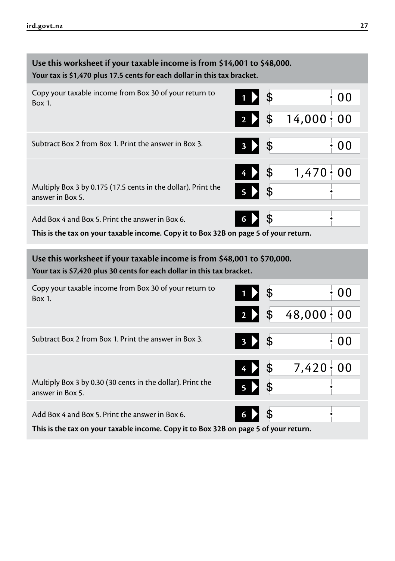<span id="page-26-0"></span>

| Use this worksheet if your taxable income is from \$14,001 to \$48,000.<br>Your tax is \$1,470 plus 17.5 cents for each dollar in this tax bracket. |         |                  |  |  |
|-----------------------------------------------------------------------------------------------------------------------------------------------------|---------|------------------|--|--|
| Copy your taxable income from Box 30 of your return to<br>Box 1.                                                                                    | \$      | 00               |  |  |
|                                                                                                                                                     | \$      | $14,000 \div 00$ |  |  |
| Subtract Box 2 from Box 1. Print the answer in Box 3.                                                                                               | \$<br>3 | 00               |  |  |
|                                                                                                                                                     | \$      | $1,470+$<br>00   |  |  |
| Multiply Box 3 by 0.175 (17.5 cents in the dollar). Print the<br>answer in Box 5.                                                                   | \$      |                  |  |  |
| Add Box 4 and Box 5. Print the answer in Box 6.                                                                                                     | \$<br>6 |                  |  |  |
| This is the tax on your taxable income. Copy it to Box 32B on page 5 of your return.                                                                |         |                  |  |  |
| Use this worksheet if your taxable income is from \$48,001 to \$70,000.                                                                             |         |                  |  |  |
| Your tax is \$7,420 plus 30 cents for each dollar in this tax bracket.                                                                              |         |                  |  |  |
| Copy your taxable income from Box 30 of your return to<br>Box 1.                                                                                    | \$      | 00               |  |  |
|                                                                                                                                                     | \$      | $48,000 \div 00$ |  |  |
| Subtract Box 2 from Box 1. Print the answer in Box 3.                                                                                               | \$      | 00               |  |  |
|                                                                                                                                                     | \$      | $7,420+$<br>00   |  |  |
| Multiply Box 3 by 0.30 (30 cents in the dollar). Print the<br>answer in Box 5.                                                                      | \$      |                  |  |  |
| Add Box 4 and Box 5. Print the answer in Box 6.                                                                                                     | \$<br>6 |                  |  |  |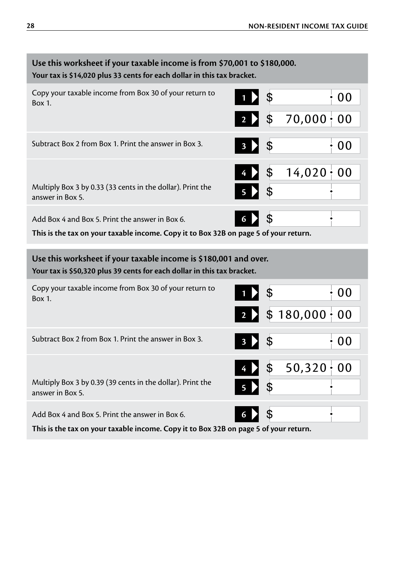| Use this worksheet if your taxable income is from \$70,001 to \$180,000.<br>Your tax is \$14,020 plus 33 cents for each dollar in this tax bracket. |               |                     |  |  |
|-----------------------------------------------------------------------------------------------------------------------------------------------------|---------------|---------------------|--|--|
| Copy your taxable income from Box 30 of your return to<br>Box 1.                                                                                    | \$            | 00                  |  |  |
|                                                                                                                                                     | \$            | $70,000 \div 00$    |  |  |
| Subtract Box 2 from Box 1. Print the answer in Box 3.                                                                                               | \$            | 00                  |  |  |
|                                                                                                                                                     | \$            | $14,020 \div 00$    |  |  |
| Multiply Box 3 by 0.33 (33 cents in the dollar). Print the<br>answer in Box 5.                                                                      | \$            |                     |  |  |
| Add Box 4 and Box 5. Print the answer in Box 6.                                                                                                     | \$<br>6       |                     |  |  |
| This is the tax on your taxable income. Copy it to Box 32B on page 5 of your return.                                                                |               |                     |  |  |
|                                                                                                                                                     |               |                     |  |  |
| Use this worksheet if your taxable income is \$180,001 and over.<br>Your tax is \$50,320 plus 39 cents for each dollar in this tax bracket.         |               |                     |  |  |
| Copy your taxable income from Box 30 of your return to<br>Box 1.                                                                                    | \$            | 00                  |  |  |
|                                                                                                                                                     |               | $$180,000 \cdot 00$ |  |  |
| Subtract Box 2 from Box 1. Print the answer in Box 3.                                                                                               | \$            | : 00                |  |  |
|                                                                                                                                                     | $\frac{1}{2}$ | $50,320 \div 00$    |  |  |
| Multiply Box 3 by 0.39 (39 cents in the dollar). Print the<br>answer in Box 5.                                                                      |               |                     |  |  |
| Add Box 4 and Box 5. Print the answer in Box 6.                                                                                                     | \$<br>6       |                     |  |  |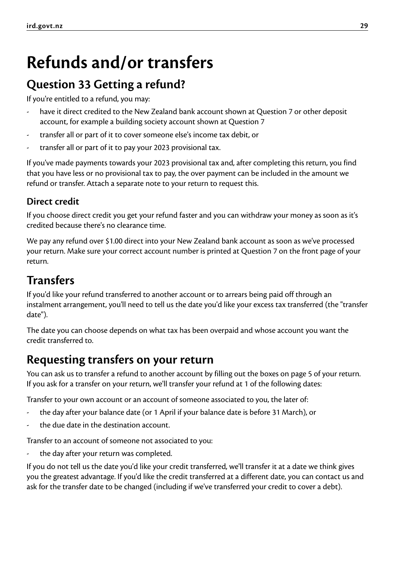# <span id="page-28-0"></span>**Refunds and/or transfers**

## **Question 33 Getting a refund?**

If you're entitled to a refund, you may:

- have it direct credited to the New Zealand bank account shown at Question 7 or other deposit account, for example a building society account shown at Question 7
- transfer all or part of it to cover someone else's income tax debit, or
- transfer all or part of it to pay your 2023 provisional tax.

If you've made payments towards your 2023 provisional tax and, after completing this return, you find that you have less or no provisional tax to pay, the over payment can be included in the amount we refund or transfer. Attach a separate note to your return to request this.

### **Direct credit**

If you choose direct credit you get your refund faster and you can withdraw your money as soon as it's credited because there's no clearance time.

We pay any refund over \$1.00 direct into your New Zealand bank account as soon as we've processed your return. Make sure your correct account number is printed at Question 7 on the front page of your return.

## **Transfers**

If you'd like your refund transferred to another account or to arrears being paid off through an instalment arrangement, you'll need to tell us the date you'd like your excess tax transferred (the "transfer date").

The date you can choose depends on what tax has been overpaid and whose account you want the credit transferred to.

### **Requesting transfers on your return**

You can ask us to transfer a refund to another account by filling out the boxes on page 5 of your return. If you ask for a transfer on your return, we'll transfer your refund at 1 of the following dates:

Transfer to your own account or an account of someone associated to you, the later of:

- the day after your balance date (or 1 April if your balance date is before 31 March), or
- the due date in the destination account.

Transfer to an account of someone not associated to you:

the day after your return was completed.

If you do not tell us the date you'd like your credit transferred, we'll transfer it at a date we think gives you the greatest advantage. If you'd like the credit transferred at a different date, you can contact us and ask for the transfer date to be changed (including if we've transferred your credit to cover a debt).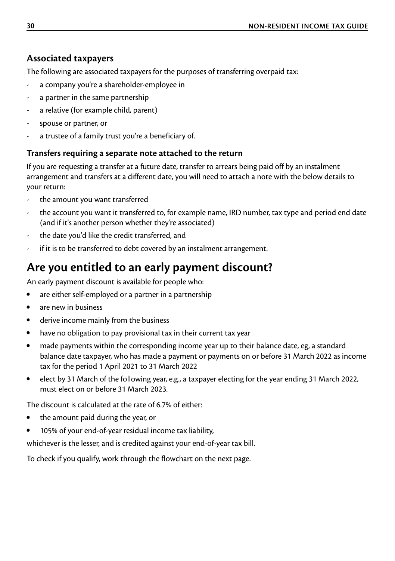### <span id="page-29-0"></span>**Associated taxpayers**

The following are associated taxpayers for the purposes of transferring overpaid tax:

- a company you're a shareholder-employee in
- a partner in the same partnership
- a relative (for example child, parent)
- spouse or partner, or
- a trustee of a family trust you're a beneficiary of.

#### **Transfers requiring a separate note attached to the return**

If you are requesting a transfer at a future date, transfer to arrears being paid off by an instalment arrangement and transfers at a different date, you will need to attach a note with the below details to your return:

- the amount you want transferred
- the account you want it transferred to, for example name, IRD number, tax type and period end date (and if it's another person whether they're associated)
- the date you'd like the credit transferred, and
- if it is to be transferred to debt covered by an instalment arrangement.

## **Are you entitled to an early payment discount?**

An early payment discount is available for people who:

- are either self-employed or a partner in a partnership
- are new in business
- derive income mainly from the business
- have no obligation to pay provisional tax in their current tax year
- made payments within the corresponding income year up to their balance date, eg, a standard balance date taxpayer, who has made a payment or payments on or before 31 March 2022 as income tax for the period 1 April 2021 to 31 March 2022
- elect by 31 March of the following year, e.g., a taxpayer electing for the year ending 31 March 2022, must elect on or before 31 March 2023.

The discount is calculated at the rate of 6.7% of either:

- the amount paid during the year, or
- 105% of your end-of-year residual income tax liability,

whichever is the lesser, and is credited against your end-of-year tax bill.

To check if you qualify, work through the flowchart on the next page.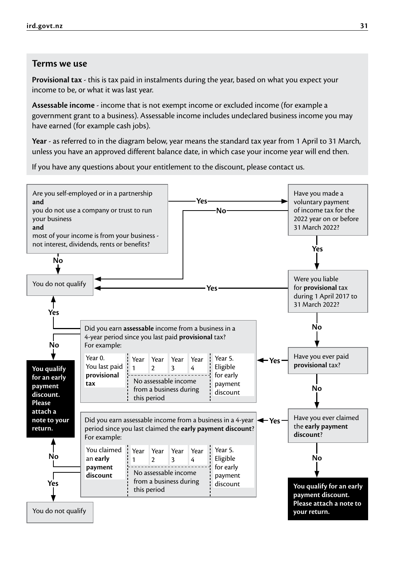#### **Terms we use**

**Provisional tax** - this is tax paid in instalments during the year, based on what you expect your income to be, or what it was last year.

**Assessable income** - income that is not exempt income or excluded income (for example a government grant to a business). Assessable income includes undeclared business income you may have earned (for example cash jobs).

**Year** - as referred to in the diagram below, year means the standard tax year from 1 April to 31 March, unless you have an approved different balance date, in which case your income year will end then.

If you have any questions about your entitlement to the discount, please contact us.

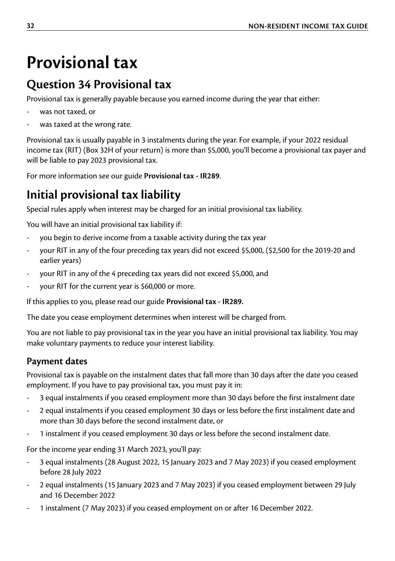# <span id="page-31-0"></span>**Provisional tax**

## **Question 34 Provisional tax**

Provisional tax is generally payable because you earned income during the year that either:

- was not taxed, or
- was taxed at the wrong rate.

Provisional tax is usually payable in 3 instalments during the year. For example, if your 2022 residual income tax (RIT) (Box 32H of your return) is more than \$5,000, you'll become a provisional tax payer and will be liable to pay 2023 provisional tax.

For more information see our guide **Provisional tax - IR289**.

## **Initial provisional tax liability**

Special rules apply when interest may be charged for an initial provisional tax liability.

You will have an initial provisional tax liability if:

- you begin to derive income from a taxable activity during the tax year
- your RIT in any of the four preceding tax years did not exceed \$5,000, (\$2,500 for the 2019-20 and earlier years)
- your RIT in any of the 4 preceding tax years did not exceed \$5,000, and
- your RIT for the current year is \$60,000 or more.

If this applies to you, please read our guide **Provisional tax - IR289.**

The date you cease employment determines when interest will be charged from.

You are not liable to pay provisional tax in the year you have an initial provisional tax liability. You may make voluntary payments to reduce your interest liability.

### **Payment dates**

Provisional tax is payable on the instalment dates that fall more than 30 days after the date you ceased employment. If you have to pay provisional tax, you must pay it in:

- 3 equal instalments if you ceased employment more than 30 days before the first instalment date
- 2 equal instalments if you ceased employment 30 days or less before the first instalment date and more than 30 days before the second instalment date, or
- 1 instalment if you ceased employment 30 days or less before the second instalment date.

For the income year ending 31 March 2023, you'll pay:

- 3 equal instalments (28 August 2022, 15 January 2023 and 7 May 2023) if you ceased employment before 28 July 2022
- 2 equal instalments (15 January 2023 and 7 May 2023) if you ceased employment between 29 July and 16 December 2022
- 1 instalment (7 May 2023) if you ceased employment on or after 16 December 2022.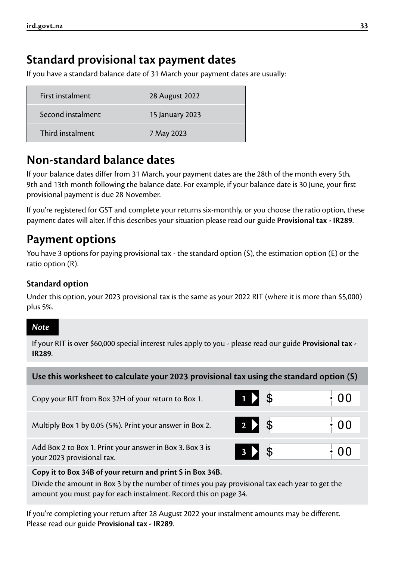## <span id="page-32-0"></span>**Standard provisional tax payment dates**

If you have a standard balance date of 31 March your payment dates are usually:

| First instalment  | 28 August 2022  |
|-------------------|-----------------|
| Second instalment | 15 January 2023 |
| Third instalment  | 7 May 2023      |

### **Non-standard balance dates**

If your balance dates differ from 31 March, your payment dates are the 28th of the month every 5th, 9th and 13th month following the balance date. For example, if your balance date is 30 June, your first provisional payment is due 28 November.

If you're registered for GST and complete your returns six-monthly, or you choose the ratio option, these payment dates will alter. If this describes your situation please read our guide **Provisional tax - IR289**.

### **Payment options**

You have 3 options for paying provisional tax - the standard option (S), the estimation option (E) or the ratio option (R).

#### **Standard option**

Under this option, your 2023 provisional tax is the same as your 2022 RIT (where it is more than \$5,000) plus 5%.

#### *Note*

If your RIT is over \$60,000 special interest rules apply to you - please read our guide **Provisional tax - IR289**.

| Use this worksheet to calculate your 2023 provisional tax using the standard option (S) |               |  |    |
|-----------------------------------------------------------------------------------------|---------------|--|----|
| Copy your RIT from Box 32H of your return to Box 1.                                     | $1 \times$ \$ |  | 00 |
| Multiply Box 1 by 0.05 (5%). Print your answer in Box 2.                                | $2 \times$ \$ |  | 00 |
| Add Box 2 to Box 1. Print your answer in Box 3. Box 3 is<br>your 2023 provisional tax.  | 3             |  | 00 |

#### **Copy it to Box 34B of your return and print S in Box 34B.**

Divide the amount in Box 3 by the number of times you pay provisional tax each year to get the amount you must pay for each instalment. Record this on page 34.

If you're completing your return after 28 August 2022 your instalment amounts may be different. Please read our guide **Provisional tax - IR289**.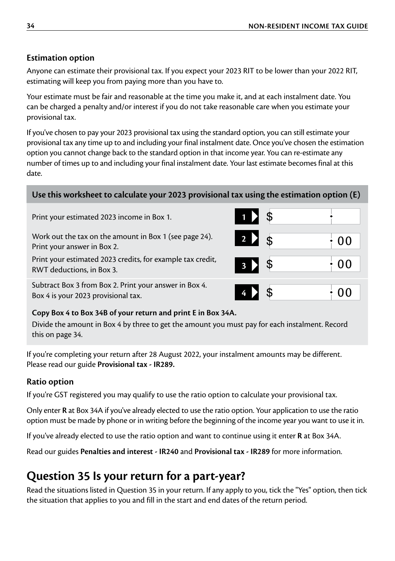#### <span id="page-33-0"></span>**Estimation option**

Anyone can estimate their provisional tax. If you expect your 2023 RIT to be lower than your 2022 RIT, estimating will keep you from paying more than you have to.

Your estimate must be fair and reasonable at the time you make it, and at each instalment date. You can be charged a penalty and/or interest if you do not take reasonable care when you estimate your provisional tax.

If you've chosen to pay your 2023 provisional tax using the standard option, you can still estimate your provisional tax any time up to and including your final instalment date. Once you've chosen the estimation option you cannot change back to the standard option in that income year. You can re-estimate any number of times up to and including your final instalment date. Your last estimate becomes final at this date.

#### **Use this worksheet to calculate your 2023 provisional tax using the estimation option (E)**

Print your estimated 2023 income in Box 1. **1**

Work out the tax on the amount in Box 1 (see page 24). Print your answer in Box 2.

Print your estimated 2023 credits, for example tax credit, **3** 3 **3 3 3 3 1 00** 

Subtract Box 3 from Box 2. Print your answer in Box 4. Box 4 is your 2023 provisional tax. **4 4 0** 

#### **Copy Box 4 to Box 34B of your return and print E in Box 34A.**

Divide the amount in Box 4 by three to get the amount you must pay for each instalment. Record this on page 34.

If you're completing your return after 28 August 2022, your instalment amounts may be different. Please read our guide **Provisional tax - IR289.**

#### **Ratio option**

If you're GST registered you may qualify to use the ratio option to calculate your provisional tax.

Only enter **R** at Box 34A if you've already elected to use the ratio option. Your application to use the ratio option must be made by phone or in writing before the beginning of the income year you want to use it in.

If you've already elected to use the ratio option and want to continue using it enter **R** at Box 34A.

Read our guides **Penalties and interest - IR240** and **Provisional tax - IR289** for more information.

## **Question 35 Is your return for a part-year?**

Read the situations listed in Question 35 in your return. If any apply to you, tick the "Yes" option, then tick the situation that applies to you and fill in the start and end dates of the return period.

| \$<br>D<br>1                           |                |
|----------------------------------------|----------------|
| 2 2<br>$\boldsymbol{\hat{\mathsf{s}}}$ | 0 <sub>0</sub> |
| $\boldsymbol{\theta}$<br>3 D           | 0 <sub>0</sub> |
|                                        |                |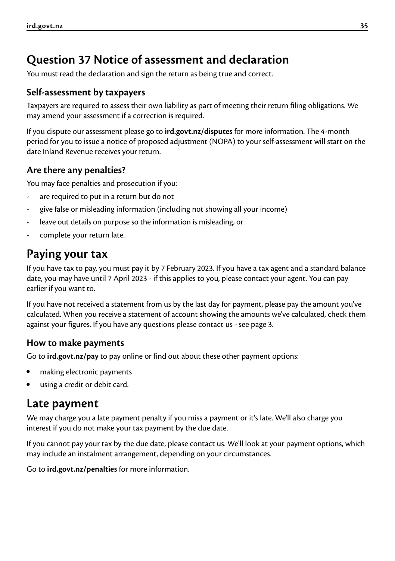## **Question 37 Notice of assessment and declaration**

You must read the declaration and sign the return as being true and correct.

### **Self-assessment by taxpayers**

Taxpayers are required to assess their own liability as part of meeting their return filing obligations. We may amend your assessment if a correction is required.

If you dispute our assessment please go to **[ird.govt.nz/disputes](http://ird.govt.nz/disputes)** for more information. The 4-month period for you to issue a notice of proposed adjustment (NOPA) to your self-assessment will start on the date Inland Revenue receives your return.

### **Are there any penalties?**

You may face penalties and prosecution if you:

- are required to put in a return but do not
- give false or misleading information (including not showing all your income)
- leave out details on purpose so the information is misleading, or
- complete your return late.

## **Paying your tax**

If you have tax to pay, you must pay it by 7 February 2023. If you have a tax agent and a standard balance date, you may have until 7 April 2023 - if this applies to you, please contact your agent. You can pay earlier if you want to.

If you have not received a statement from us by the last day for payment, please pay the amount you've calculated. When you receive a statement of account showing the amounts we've calculated, check them against your figures. If you have any questions please contact us - see page 3.

#### **How to make payments**

Go to **[ird.govt.nz/pay](http://ird.govt.nz/pay)** to pay online or find out about these other payment options:

- making electronic payments
- using a credit or debit card.

### **Late payment**

We may charge you a late payment penalty if you miss a payment or it's late. We'll also charge you interest if you do not make your tax payment by the due date.

If you cannot pay your tax by the due date, please contact us. We'll look at your payment options, which may include an instalment arrangement, depending on your circumstances.

Go to **[ird.govt.nz/penalties](http://ird.govt.nz/penalties)** for more information.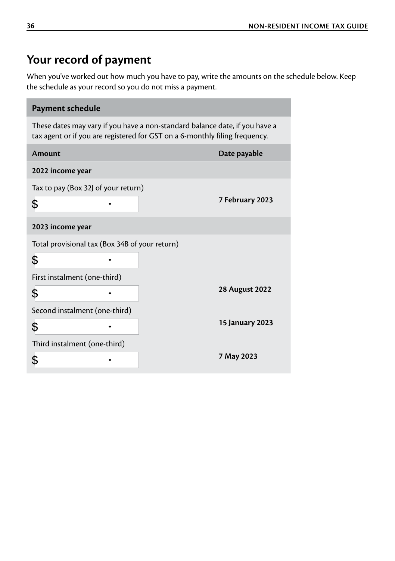## <span id="page-35-0"></span>**Your record of payment**

When you've worked out how much you have to pay, write the amounts on the schedule below. Keep the schedule as your record so you do not miss a payment.

| Payment schedule                                                                                                                                           |                        |  |  |
|------------------------------------------------------------------------------------------------------------------------------------------------------------|------------------------|--|--|
| These dates may vary if you have a non-standard balance date, if you have a<br>tax agent or if you are registered for GST on a 6-monthly filing frequency. |                        |  |  |
| <b>Amount</b>                                                                                                                                              | Date payable           |  |  |
| 2022 income year                                                                                                                                           |                        |  |  |
| Tax to pay (Box 32) of your return)<br>\$                                                                                                                  | 7 February 2023        |  |  |
| 2023 income year                                                                                                                                           |                        |  |  |
| Total provisional tax (Box 34B of your return)<br>\$<br>First instalment (one-third)                                                                       |                        |  |  |
| \$                                                                                                                                                         | <b>28 August 2022</b>  |  |  |
| Second instalment (one-third)                                                                                                                              |                        |  |  |
| \$                                                                                                                                                         | <b>15 January 2023</b> |  |  |
| Third instalment (one-third)                                                                                                                               |                        |  |  |
| \$                                                                                                                                                         | 7 May 2023             |  |  |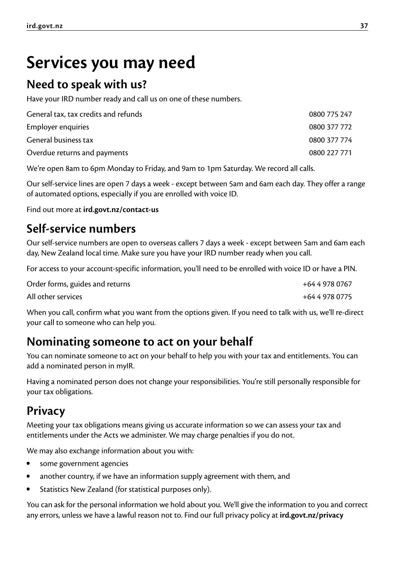# <span id="page-36-0"></span>**Services you may need**

### **Need to speak with us?**

Have your IRD number ready and call us on one of these numbers.

| General tax, tax credits and refunds | 0800 775 247 |
|--------------------------------------|--------------|
| Employer enquiries                   | 0800 377 772 |
| General business tax                 | 0800 377 774 |
| Overdue returns and payments         | 0800 227 771 |

We're open 8am to 6pm Monday to Friday, and 9am to 1pm Saturday. We record all calls.

Our self-service lines are open 7 days a week - except between 5am and 6am each day. They offer a range of automated options, especially if you are enrolled with voice ID.

Find out more at **[ird.govt.nz/contact-us](http://ird.govt.nz/contact-us)**

## **Self-service numbers**

Our self-service numbers are open to overseas callers 7 days a week - except between 5am and 6am each day, New Zealand local time. Make sure you have your IRD number ready when you call.

For access to your account-specific information, you'll need to be enrolled with voice ID or have a PIN.

| Order forms, guides and returns | +64 4 978 0767 |
|---------------------------------|----------------|
| All other services              | +64 4 978 0775 |

When you call, confirm what you want from the options given. If you need to talk with us, we'll re-direct your call to someone who can help you.

### **Nominating someone to act on your behalf**

You can nominate someone to act on your behalf to help you with your tax and entitlements. You can add a nominated person in myIR.

Having a nominated person does not change your responsibilities. You're still personally responsible for your tax obligations.

## **Privacy**

Meeting your tax obligations means giving us accurate information so we can assess your tax and entitlements under the Acts we administer. We may charge penalties if you do not.

We may also exchange information about you with:

- some government agencies
- another country, if we have an information supply agreement with them, and
- Statistics New Zealand (for statistical purposes only).

You can ask for the personal information we hold about you. We'll give the information to you and correct any errors, unless we have a lawful reason not to. Find our full privacy policy at **[ird.govt.nz/privacy](http://ird.govt.nz/privacy)**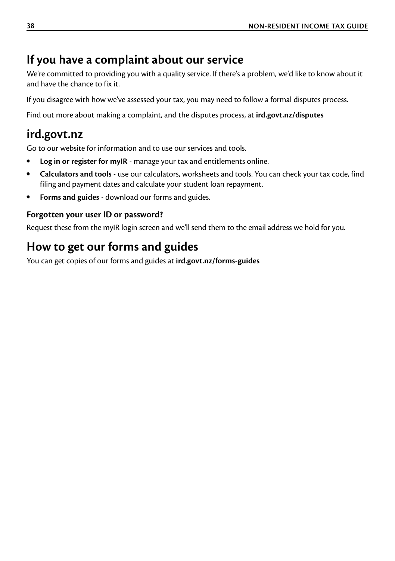## <span id="page-37-0"></span>**If you have a complaint about our service**

We're committed to providing you with a quality service. If there's a problem, we'd like to know about it and have the chance to fix it.

If you disagree with how we've assessed your tax, you may need to follow a formal disputes process.

Find out more about making a complaint, and the disputes process, at **[ird.govt.nz/disputes](http://ird.govt.nz/disputes)**

## **[ird.govt.nz](http://ird.govt.nz)**

Go to our website for information and to use our services and tools.

- **Log in or register for myIR** manage your tax and entitlements online.
- **Calculators and tools** use our calculators, worksheets and tools. You can check your tax code, find filing and payment dates and calculate your student loan repayment.
- **Forms and guides** download our forms and guides.

#### **Forgotten your user ID or password?**

Request these from the myIR login screen and we'll send them to the email address we hold for you.

## **How to get our forms and guides**

You can get copies of our forms and guides at **[ird.govt.nz/forms-guides](http://ird.govt.nz/forms-guides)**